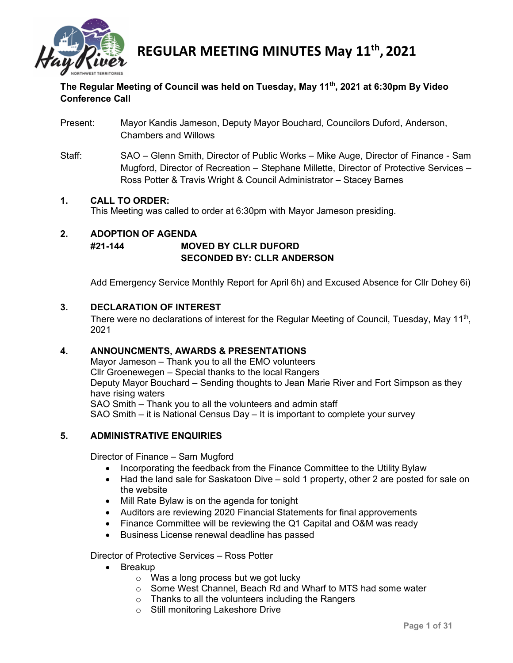

### **The Regular Meeting of Council was held on Tuesday, May 11th, 2021 at 6:30pm By Video Conference Call**

- Present: Mayor Kandis Jameson, Deputy Mayor Bouchard, Councilors Duford, Anderson, Chambers and Willows
- Staff: SAO Glenn Smith, Director of Public Works Mike Auge, Director of Finance Sam Mugford, Director of Recreation – Stephane Millette, Director of Protective Services – Ross Potter & Travis Wright & Council Administrator – Stacey Barnes

### **1. CALL TO ORDER:**

This Meeting was called to order at 6:30pm with Mayor Jameson presiding.

### **2. ADOPTION OF AGENDA #21-144 MOVED BY CLLR DUFORD SECONDED BY: CLLR ANDERSON**

Add Emergency Service Monthly Report for April 6h) and Excused Absence for Cllr Dohey 6i)

### **3. DECLARATION OF INTEREST**

There were no declarations of interest for the Regular Meeting of Council, Tuesday, May  $11<sup>th</sup>$ , 2021

### **4. ANNOUNCMENTS, AWARDS & PRESENTATIONS**

Mayor Jameson – Thank you to all the EMO volunteers Cllr Groenewegen – Special thanks to the local Rangers Deputy Mayor Bouchard – Sending thoughts to Jean Marie River and Fort Simpson as they have rising waters SAO Smith – Thank you to all the volunteers and admin staff SAO Smith – it is National Census Day – It is important to complete your survey

### **5. ADMINISTRATIVE ENQUIRIES**

Director of Finance – Sam Mugford

- Incorporating the feedback from the Finance Committee to the Utility Bylaw
- Had the land sale for Saskatoon Dive sold 1 property, other 2 are posted for sale on the website
- Mill Rate Bylaw is on the agenda for tonight
- Auditors are reviewing 2020 Financial Statements for final approvements
- Finance Committee will be reviewing the Q1 Capital and O&M was ready
- Business License renewal deadline has passed

Director of Protective Services – Ross Potter

- Breakup
	- o Was a long process but we got lucky
	- o Some West Channel, Beach Rd and Wharf to MTS had some water
	- o Thanks to all the volunteers including the Rangers
	- o Still monitoring Lakeshore Drive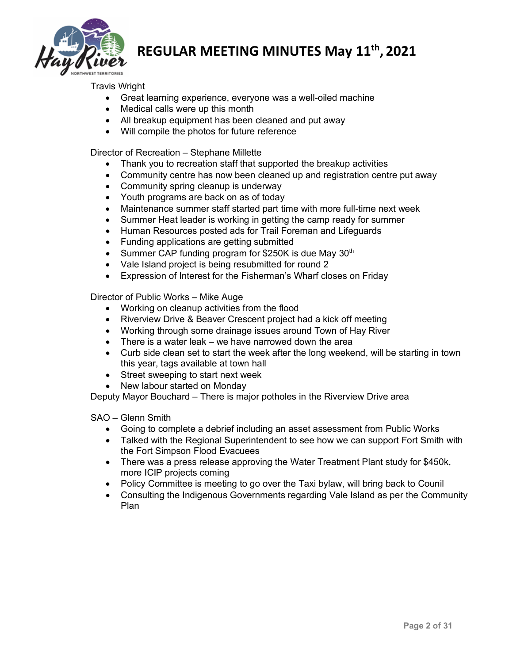

Travis Wright

- Great learning experience, everyone was a well-oiled machine
- Medical calls were up this month
- All breakup equipment has been cleaned and put away
- Will compile the photos for future reference

Director of Recreation – Stephane Millette

- Thank you to recreation staff that supported the breakup activities
- Community centre has now been cleaned up and registration centre put away
- Community spring cleanup is underway
- Youth programs are back on as of today
- Maintenance summer staff started part time with more full-time next week
- Summer Heat leader is working in getting the camp ready for summer
- Human Resources posted ads for Trail Foreman and Lifeguards
- Funding applications are getting submitted
- Summer CAP funding program for  $$250K$  is due May  $30<sup>th</sup>$
- Vale Island project is being resubmitted for round 2
- Expression of Interest for the Fisherman's Wharf closes on Friday

Director of Public Works – Mike Auge

- Working on cleanup activities from the flood
- Riverview Drive & Beaver Crescent project had a kick off meeting
- Working through some drainage issues around Town of Hay River
- There is a water leak we have narrowed down the area
- Curb side clean set to start the week after the long weekend, will be starting in town this year, tags available at town hall
- Street sweeping to start next week
- New labour started on Monday

Deputy Mayor Bouchard – There is major potholes in the Riverview Drive area

SAO – Glenn Smith

- Going to complete a debrief including an asset assessment from Public Works
- Talked with the Regional Superintendent to see how we can support Fort Smith with the Fort Simpson Flood Evacuees
- There was a press release approving the Water Treatment Plant study for \$450k, more ICIP projects coming
- Policy Committee is meeting to go over the Taxi bylaw, will bring back to Counil
- Consulting the Indigenous Governments regarding Vale Island as per the Community Plan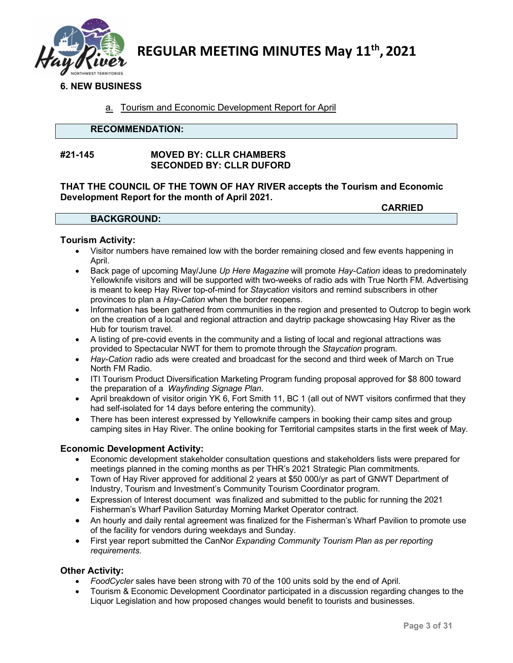

### **6. NEW BUSINESS**

### a. Tourism and Economic Development Report for April

### **RECOMMENDATION:**

### **#21-145 MOVED BY: CLLR CHAMBERS SECONDED BY: CLLR DUFORD**

**THAT THE COUNCIL OF THE TOWN OF HAY RIVER accepts the Tourism and Economic Development Report for the month of April 2021. CARRIED**

|                    | VANNILL |
|--------------------|---------|
| <b>BACKGROUND:</b> |         |

#### **Tourism Activity:**

- Visitor numbers have remained low with the border remaining closed and few events happening in April.
- Back page of upcoming May/June *Up Here Magazine* will promote *Hay-Cation* ideas to predominately Yellowknife visitors and will be supported with two-weeks of radio ads with True North FM. Advertising is meant to keep Hay River top-of-mind for *Staycation* visitors and remind subscribers in other provinces to plan a *Hay-Cation* when the border reopens.
- Information has been gathered from communities in the region and presented to Outcrop to begin work on the creation of a local and regional attraction and daytrip package showcasing Hay River as the Hub for tourism travel.
- A listing of pre-covid events in the community and a listing of local and regional attractions was provided to Spectacular NWT for them to promote through the *Staycation* program.
- *Hay-Cation* radio ads were created and broadcast for the second and third week of March on True North FM Radio.
- ITI Tourism Product Diversification Marketing Program funding proposal approved for \$8 800 toward the preparation of a *Wayfinding Signage Plan*.
- April breakdown of visitor origin YK 6, Fort Smith 11, BC 1 (all out of NWT visitors confirmed that they had self-isolated for 14 days before entering the community).
- There has been interest expressed by Yellowknife campers in booking their camp sites and group camping sites in Hay River. The online booking for Territorial campsites starts in the first week of May.

### **Economic Development Activity:**

- Economic development stakeholder consultation questions and stakeholders lists were prepared for meetings planned in the coming months as per THR's 2021 Strategic Plan commitments.
- Town of Hay River approved for additional 2 years at \$50 000/yr as part of GNWT Department of Industry, Tourism and Investment's Community Tourism Coordinator program.
- Expression of Interest document was finalized and submitted to the public for running the 2021 Fisherman's Wharf Pavilion Saturday Morning Market Operator contract.
- An hourly and daily rental agreement was finalized for the Fisherman's Wharf Pavilion to promote use of the facility for vendors during weekdays and Sunday.
- First year report submitted the CanNor *Expanding Community Tourism Plan as per reporting requirements.*

### **Other Activity:**

- *FoodCycler* sales have been strong with 70 of the 100 units sold by the end of April.
- Tourism & Economic Development Coordinator participated in a discussion regarding changes to the Liquor Legislation and how proposed changes would benefit to tourists and businesses.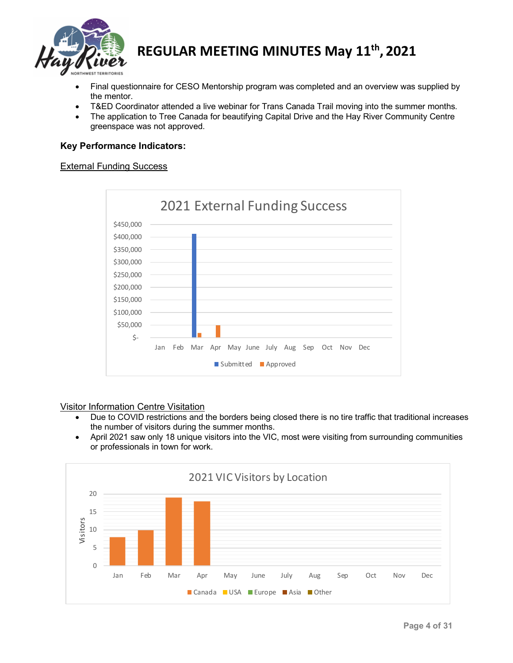

- Final questionnaire for CESO Mentorship program was completed and an overview was supplied by the mentor.
- T&ED Coordinator attended a live webinar for Trans Canada Trail moving into the summer months.
- The application to Tree Canada for beautifying Capital Drive and the Hay River Community Centre greenspace was not approved.

### **Key Performance Indicators:**

#### External Funding Success



### Visitor Information Centre Visitation

- Due to COVID restrictions and the borders being closed there is no tire traffic that traditional increases the number of visitors during the summer months.
- April 2021 saw only 18 unique visitors into the VIC, most were visiting from surrounding communities or professionals in town for work.

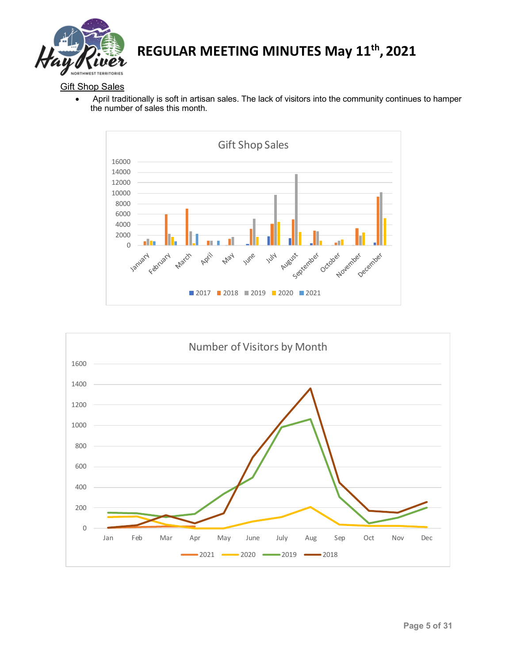

**Gift Shop Sales** 

• April traditionally is soft in artisan sales. The lack of visitors into the community continues to hamper the number of sales this month.



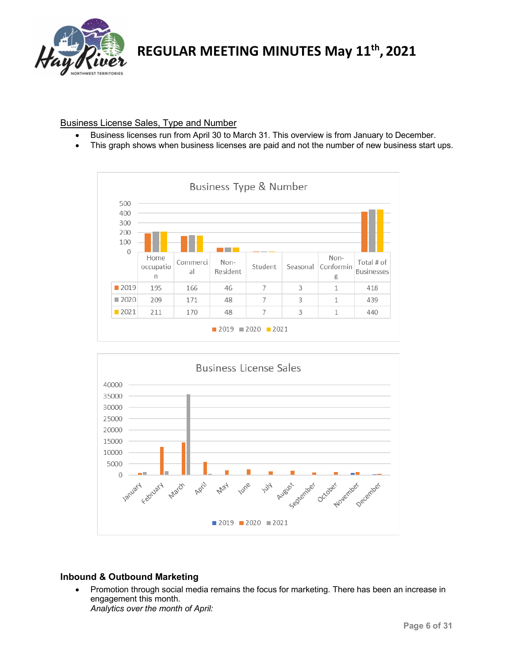

### Business License Sales, Type and Number

- Business licenses run from April 30 to March 31. This overview is from January to December.
- This graph shows when business licenses are paid and not the number of new business start ups.





### **Inbound & Outbound Marketing**

• Promotion through social media remains the focus for marketing. There has been an increase in engagement this month. *Analytics over the month of April:*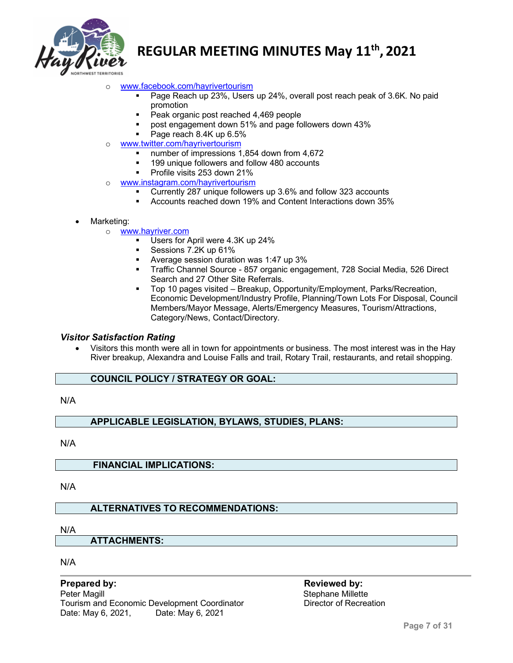

- o [www.facebook.com/hayrivertourism](http://www.facebook.com/hayrivertourism)
	- Page Reach up 23%, Users up 24%, overall post reach peak of 3.6K. No paid promotion
	- Peak organic post reached 4,469 people
	- post engagement down 51% and page followers down 43%
	- Page reach 8.4K up 6.5%
- o [www.twitter.com/hayrivertourism](http://www.twitter.com/hayrivertourism)
	- number of impressions 1,854 down from 4,672
	- 199 unique followers and follow 480 accounts
	- Profile visits 253 down 21%
- o [www.instagram.com/hayrivertourism](http://www.instagram.com/hayrivertourism)<br>Currently 287 unique follower
	- Currently 287 unique followers up 3.6% and follow 323 accounts
	- Accounts reached down 19% and Content Interactions down 35%
- Marketing:
	- o <u>[www.hayriver.com](http://www.hayriver.com/)</u><br>Users for *L* 
		- Users for April were 4.3K up 24%
		- Sessions 7.2K up 61%
		- Average session duration was 1:47 up 3%
		- Traffic Channel Source 857 organic engagement, 728 Social Media, 526 Direct Search and 27 Other Site Referrals.
		- Top 10 pages visited Breakup, Opportunity/Employment, Parks/Recreation, Economic Development/Industry Profile, Planning/Town Lots For Disposal, Council Members/Mayor Message, Alerts/Emergency Measures, Tourism/Attractions, Category/News, Contact/Directory.

### *Visitor Satisfaction Rating*

• Visitors this month were all in town for appointments or business. The most interest was in the Hay River breakup, Alexandra and Louise Falls and trail, Rotary Trail, restaurants, and retail shopping.

### **COUNCIL POLICY / STRATEGY OR GOAL:**

N/A

### **APPLICABLE LEGISLATION, BYLAWS, STUDIES, PLANS:**

N/A

**FINANCIAL IMPLICATIONS:**

N/A

### **ALTERNATIVES TO RECOMMENDATIONS:**

N/A

**ATTACHMENTS:**

N/A

**Prepared by: Reviewed by:** Tourism and Economic Development Coordinator **Director of Recreation** Date: May 6, 2021, Date: May 6, 2021

Stephane Millette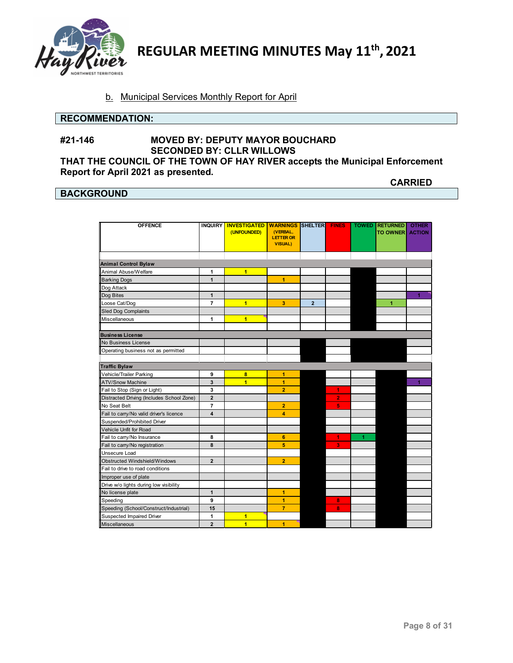

### b. Municipal Services Monthly Report for April

#### **RECOMMENDATION:**

**Report for April 2021 as presented.**

### **#21-146 MOVED BY: DEPUTY MAYOR BOUCHARD SECONDED BY: CLLR WILLOWS THAT THE COUNCIL OF THE TOWN OF HAY RIVER accepts the Municipal Enforcement**

### **BACKGROUND**

**CARRIED**

| <b>OFFENCE</b>                            |                | INQUIRY   INVESTIGATED | <b>WARNINGS SHELTER</b> |                | <b>FINES</b>   |   | <b>TOWED RETURNED</b> | <b>OTHER</b>  |
|-------------------------------------------|----------------|------------------------|-------------------------|----------------|----------------|---|-----------------------|---------------|
|                                           |                | (UNFOUNDED)            | (VERBAL,                |                |                |   | <b>TO OWNER</b>       | <b>ACTION</b> |
|                                           |                |                        | <b>LETTER OR</b>        |                |                |   |                       |               |
|                                           |                |                        | <b>VISUAL)</b>          |                |                |   |                       |               |
|                                           |                |                        |                         |                |                |   |                       |               |
| <b>Animal Control Bylaw</b>               |                |                        |                         |                |                |   |                       |               |
| Animal Abuse/Welfare                      | 1              | $\overline{1}$         |                         |                |                |   |                       |               |
| <b>Barking Dogs</b>                       | $\mathbf{1}$   |                        | $\overline{1}$          |                |                |   |                       |               |
| Dog Attack                                |                |                        |                         |                |                |   |                       |               |
| Dog Bites                                 | $\mathbf{1}$   |                        |                         |                |                |   |                       | 1             |
| Loose Cat/Dog                             | 7              | $\overline{1}$         | 3                       | $\overline{2}$ |                |   | 1                     |               |
| <b>Sled Dog Complaints</b>                |                |                        |                         |                |                |   |                       |               |
| Miscellaneous                             | 1              | 1                      |                         |                |                |   |                       |               |
|                                           |                |                        |                         |                |                |   |                       |               |
| <b>Business License</b>                   |                |                        |                         |                |                |   |                       |               |
| No Business License                       |                |                        |                         |                |                |   |                       |               |
| Operating business not as permitted       |                |                        |                         |                |                |   |                       |               |
|                                           |                |                        |                         |                |                |   |                       |               |
| <b>Traffic Bylaw</b>                      |                |                        |                         |                |                |   |                       |               |
| Vehicle/Trailer Parking                   | 9              | 8                      | 1                       |                |                |   |                       |               |
| <b>ATV/Snow Machine</b>                   | 3              | $\overline{1}$         | 1                       |                |                |   |                       | 1             |
| Fail to Stop (Sign or Light)              | 3              |                        | 2                       |                | 1              |   |                       |               |
| Distracted Driving (Includes School Zone) | $\overline{2}$ |                        |                         |                | $\overline{2}$ |   |                       |               |
| No Seat Belt                              | 7              |                        | $\overline{2}$          |                | 5              |   |                       |               |
| Fail to carry/No valid driver's licence   | 4              |                        | 4                       |                |                |   |                       |               |
| Suspended/Prohibited Driver               |                |                        |                         |                |                |   |                       |               |
| Vehicle Unfit for Road                    |                |                        |                         |                |                |   |                       |               |
| Fail to carry/No Insurance                | 8              |                        | 6                       |                | 1              | 1 |                       |               |
| Fail to carry/No registration             | 8              |                        | 5                       |                | 3              |   |                       |               |
| Unsecure Load                             |                |                        |                         |                |                |   |                       |               |
| <b>Obstructed Windshield/Windows</b>      | $\overline{2}$ |                        | $\overline{2}$          |                |                |   |                       |               |
| Fail to drive to road conditions          |                |                        |                         |                |                |   |                       |               |
| Improper use of plate                     |                |                        |                         |                |                |   |                       |               |
| Drive w/o lights during low visibility    |                |                        |                         |                |                |   |                       |               |
| No license plate                          | $\mathbf{1}$   |                        | 1                       |                |                |   |                       |               |
| Speeding                                  | 9              |                        | 1                       |                | 8              |   |                       |               |
| Speeding (School/Construct/Industrial)    | 15             |                        | $\overline{7}$          |                | 8              |   |                       |               |
| Suspected Impaired Driver                 | 1              | 1                      |                         |                |                |   |                       |               |
| <b>Miscellaneous</b>                      | $\overline{2}$ | $\overline{1}$         | 1                       |                |                |   |                       |               |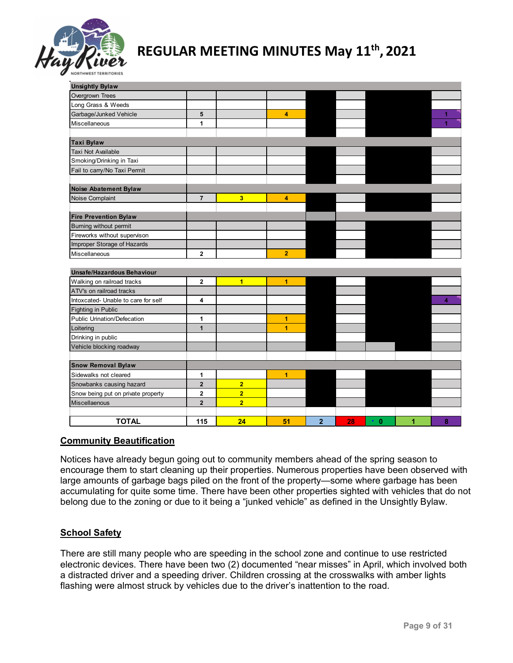

| <b>Unsightly Bylaw</b>              |                         |                |                |                |    |                           |   |   |
|-------------------------------------|-------------------------|----------------|----------------|----------------|----|---------------------------|---|---|
| Overgrown Trees                     |                         |                |                |                |    |                           |   |   |
| Long Grass & Weeds                  |                         |                |                |                |    |                           |   |   |
| Garbage/Junked Vehicle              | 5                       |                | 4              |                |    |                           |   |   |
| <b>Miscellaneous</b>                | 1                       |                |                |                |    |                           |   | 1 |
|                                     |                         |                |                |                |    |                           |   |   |
| <b>Taxi Bylaw</b>                   |                         |                |                |                |    |                           |   |   |
| <b>Taxi Not Available</b>           |                         |                |                |                |    |                           |   |   |
| Smoking/Drinking in Taxi            |                         |                |                |                |    |                           |   |   |
| Fail to carry/No Taxi Permit        |                         |                |                |                |    |                           |   |   |
|                                     |                         |                |                |                |    |                           |   |   |
| <b>Noise Abatement Bylaw</b>        |                         |                |                |                |    |                           |   |   |
| Noise Complaint                     | $\overline{\mathbf{r}}$ | 3              | 4              |                |    |                           |   |   |
|                                     |                         |                |                |                |    |                           |   |   |
| <b>Fire Prevention Bylaw</b>        |                         |                |                |                |    |                           |   |   |
| Burning without permit              |                         |                |                |                |    |                           |   |   |
| Fireworks without supervison        |                         |                |                |                |    |                           |   |   |
| Improper Storage of Hazards         |                         |                |                |                |    |                           |   |   |
| Miscellaneous                       | 2                       |                | $\overline{2}$ |                |    |                           |   |   |
|                                     |                         |                |                |                |    |                           |   |   |
| <b>Unsafe/Hazardous Behaviour</b>   |                         |                |                |                |    |                           |   |   |
| Walking on railroad tracks          | 2                       | $\overline{1}$ | $\overline{1}$ |                |    |                           |   |   |
| ATV's on railroad tracks            |                         |                |                |                |    |                           |   |   |
| Intoxcated- Unable to care for self | 4                       |                |                |                |    |                           |   | 4 |
| Fighting in Public                  |                         |                |                |                |    |                           |   |   |
| Public Urination/Defecation         | 1                       |                | 1              |                |    |                           |   |   |
| Loitering                           | 1                       |                | 1              |                |    |                           |   |   |
| Drinking in public                  |                         |                |                |                |    |                           |   |   |
| Vehicle blocking roadway            |                         |                |                |                |    |                           |   |   |
|                                     |                         |                |                |                |    |                           |   |   |
| <b>Snow Removal Bylaw</b>           |                         |                |                |                |    |                           |   |   |
| Sidewalks not cleared               | 1                       |                | 1              |                |    |                           |   |   |
| Snowbanks causing hazard            | $\overline{2}$          | $\overline{2}$ |                |                |    |                           |   |   |
| Snow being put on private property  | $\overline{\mathbf{2}}$ | $\overline{2}$ |                |                |    |                           |   |   |
| Miscellaenous                       | $\overline{2}$          | $\overline{2}$ |                |                |    |                           |   |   |
|                                     |                         |                |                |                |    |                           |   |   |
| <b>TOTAL</b>                        | 115                     | 24             | 51             | $\overline{2}$ | 28 | $\bullet$<br>$\mathbf{0}$ | 1 | 8 |

### **Community Beautification**

Notices have already begun going out to community members ahead of the spring season to encourage them to start cleaning up their properties. Numerous properties have been observed with large amounts of garbage bags piled on the front of the property—some where garbage has been accumulating for quite some time. There have been other properties sighted with vehicles that do not belong due to the zoning or due to it being a "junked vehicle" as defined in the Unsightly Bylaw.

### **School Safety**

There are still many people who are speeding in the school zone and continue to use restricted electronic devices. There have been two (2) documented "near misses" in April, which involved both a distracted driver and a speeding driver. Children crossing at the crosswalks with amber lights flashing were almost struck by vehicles due to the driver's inattention to the road.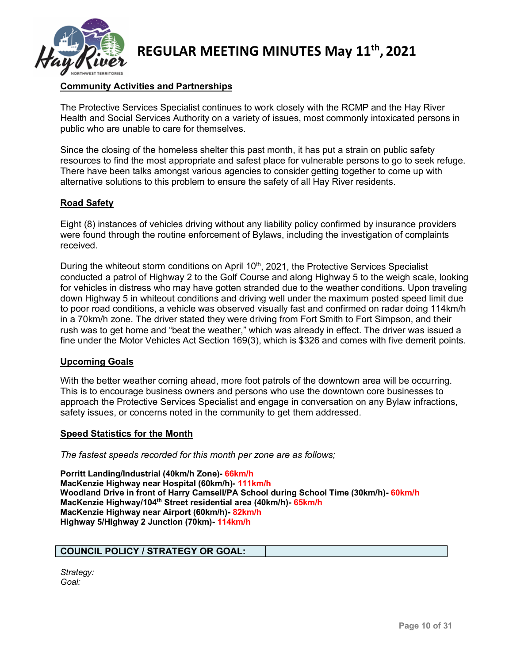

### **Community Activities and Partnerships**

The Protective Services Specialist continues to work closely with the RCMP and the Hay River Health and Social Services Authority on a variety of issues, most commonly intoxicated persons in public who are unable to care for themselves.

Since the closing of the homeless shelter this past month, it has put a strain on public safety resources to find the most appropriate and safest place for vulnerable persons to go to seek refuge. There have been talks amongst various agencies to consider getting together to come up with alternative solutions to this problem to ensure the safety of all Hay River residents.

### **Road Safety**

Eight (8) instances of vehicles driving without any liability policy confirmed by insurance providers were found through the routine enforcement of Bylaws, including the investigation of complaints received.

During the whiteout storm conditions on April 10<sup>th</sup>, 2021, the Protective Services Specialist conducted a patrol of Highway 2 to the Golf Course and along Highway 5 to the weigh scale, looking for vehicles in distress who may have gotten stranded due to the weather conditions. Upon traveling down Highway 5 in whiteout conditions and driving well under the maximum posted speed limit due to poor road conditions, a vehicle was observed visually fast and confirmed on radar doing 114km/h in a 70km/h zone. The driver stated they were driving from Fort Smith to Fort Simpson, and their rush was to get home and "beat the weather," which was already in effect. The driver was issued a fine under the Motor Vehicles Act Section 169(3), which is \$326 and comes with five demerit points.

### **Upcoming Goals**

With the better weather coming ahead, more foot patrols of the downtown area will be occurring. This is to encourage business owners and persons who use the downtown core businesses to approach the Protective Services Specialist and engage in conversation on any Bylaw infractions, safety issues, or concerns noted in the community to get them addressed.

### **Speed Statistics for the Month**

*The fastest speeds recorded for this month per zone are as follows;*

**Porritt Landing/Industrial (40km/h Zone)- 66km/h MacKenzie Highway near Hospital (60km/h)- 111km/h Woodland Drive in front of Harry Camsell/PA School during School Time (30km/h)- 60km/h MacKenzie Highway/104th Street residential area (40km/h)- 65km/h MacKenzie Highway near Airport (60km/h)- 82km/h Highway 5/Highway 2 Junction (70km)- 114km/h**

### **COUNCIL POLICY / STRATEGY OR GOAL:**

*Strategy: Goal:*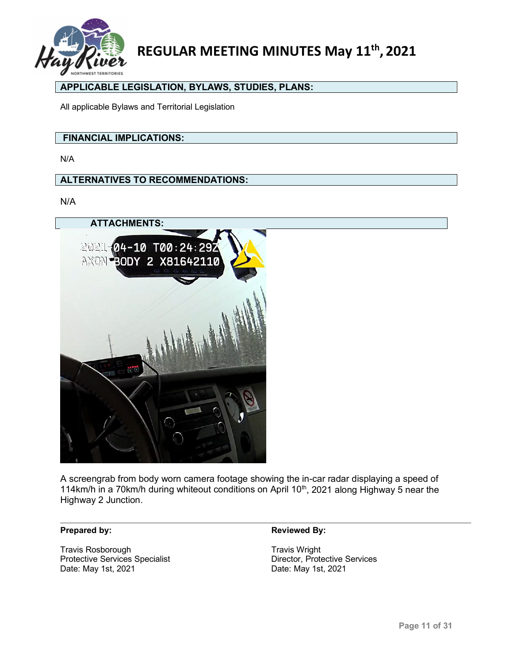

### **APPLICABLE LEGISLATION, BYLAWS, STUDIES, PLANS:**

All applicable Bylaws and Territorial Legislation

### **FINANCIAL IMPLICATIONS:**

N/A

### **ALTERNATIVES TO RECOMMENDATIONS:**

N/A



A screengrab from body worn camera footage showing the in-car radar displaying a speed of 114km/h in a 70km/h during whiteout conditions on April 10<sup>th</sup>, 2021 along Highway 5 near the Highway 2 Junction.

Travis Rosborough<br>
Protective Services Specialist<br>
Protective Services Protective Services Specialist<br>Date: May 1st, 2021

#### **Prepared by: Reviewed By: Reviewed By:**

Date: May 1st, 2021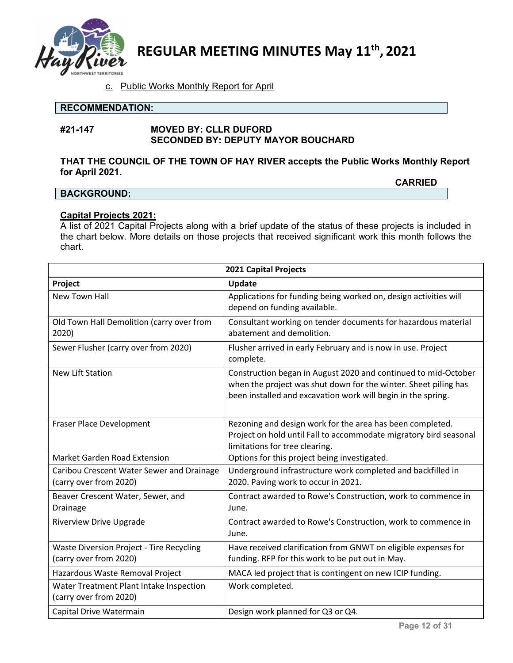

### c. Public Works Monthly Report for April

### **RECOMMENDATION:**

### **#21-147 MOVED BY: CLLR DUFORD SECONDED BY: DEPUTY MAYOR BOUCHARD**

### **THAT THE COUNCIL OF THE TOWN OF HAY RIVER accepts the Public Works Monthly Report for April 2021.**

### **BACKGROUND:**

**CARRIED**

### **Capital Projects 2021:**

A list of 2021 Capital Projects along with a brief update of the status of these projects is included in the chart below. More details on those projects that received significant work this month follows the chart.

|                                                                           | <b>2021 Capital Projects</b>                                                                                                                                                                      |
|---------------------------------------------------------------------------|---------------------------------------------------------------------------------------------------------------------------------------------------------------------------------------------------|
| Project                                                                   | <b>Update</b>                                                                                                                                                                                     |
| <b>New Town Hall</b>                                                      | Applications for funding being worked on, design activities will<br>depend on funding available.                                                                                                  |
| Old Town Hall Demolition (carry over from<br>2020)                        | Consultant working on tender documents for hazardous material<br>abatement and demolition.                                                                                                        |
| Sewer Flusher (carry over from 2020)                                      | Flusher arrived in early February and is now in use. Project<br>complete.                                                                                                                         |
| <b>New Lift Station</b>                                                   | Construction began in August 2020 and continued to mid-October<br>when the project was shut down for the winter. Sheet piling has<br>been installed and excavation work will begin in the spring. |
| Fraser Place Development                                                  | Rezoning and design work for the area has been completed.<br>Project on hold until Fall to accommodate migratory bird seasonal<br>limitations for tree clearing.                                  |
| <b>Market Garden Road Extension</b>                                       | Options for this project being investigated.                                                                                                                                                      |
| Caribou Crescent Water Sewer and Drainage<br>(carry over from 2020)       | Underground infrastructure work completed and backfilled in<br>2020. Paving work to occur in 2021.                                                                                                |
| Beaver Crescent Water, Sewer, and<br>Drainage                             | Contract awarded to Rowe's Construction, work to commence in<br>June.                                                                                                                             |
| <b>Riverview Drive Upgrade</b>                                            | Contract awarded to Rowe's Construction, work to commence in<br>June.                                                                                                                             |
| <b>Waste Diversion Project - Tire Recycling</b><br>(carry over from 2020) | Have received clarification from GNWT on eligible expenses for<br>funding. RFP for this work to be put out in May.                                                                                |
| Hazardous Waste Removal Project                                           | MACA led project that is contingent on new ICIP funding.                                                                                                                                          |
| Water Treatment Plant Intake Inspection<br>(carry over from 2020)         | Work completed.                                                                                                                                                                                   |
| Capital Drive Watermain                                                   | Design work planned for Q3 or Q4.                                                                                                                                                                 |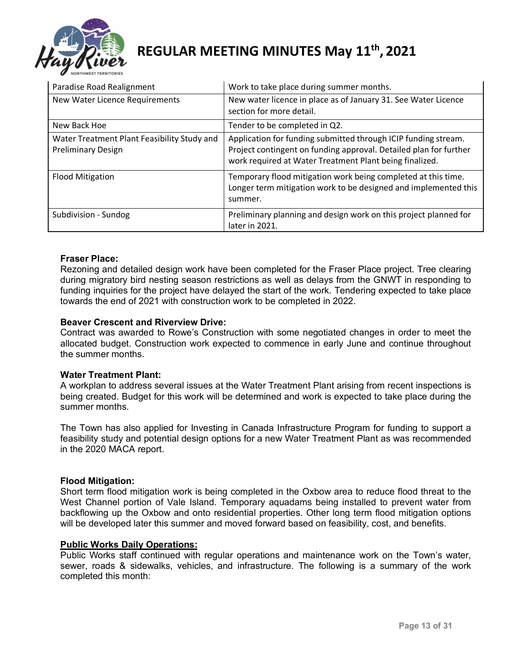

| Paradise Road Realignment                                                | Work to take place during summer months.                                                                                                                                                       |
|--------------------------------------------------------------------------|------------------------------------------------------------------------------------------------------------------------------------------------------------------------------------------------|
| New Water Licence Requirements                                           | New water licence in place as of January 31. See Water Licence<br>section for more detail.                                                                                                     |
| New Back Hoe                                                             | Tender to be completed in Q2.                                                                                                                                                                  |
| Water Treatment Plant Feasibility Study and<br><b>Preliminary Design</b> | Application for funding submitted through ICIP funding stream.<br>Project contingent on funding approval. Detailed plan for further<br>work required at Water Treatment Plant being finalized. |
| <b>Flood Mitigation</b>                                                  | Temporary flood mitigation work being completed at this time.<br>Longer term mitigation work to be designed and implemented this<br>summer.                                                    |
| Subdivision - Sundog                                                     | Preliminary planning and design work on this project planned for<br>later in 2021.                                                                                                             |

### **Fraser Place:**

Rezoning and detailed design work have been completed for the Fraser Place project. Tree clearing during migratory bird nesting season restrictions as well as delays from the GNWT in responding to funding inquiries for the project have delayed the start of the work. Tendering expected to take place towards the end of 2021 with construction work to be completed in 2022.

### **Beaver Crescent and Riverview Drive:**

Contract was awarded to Rowe's Construction with some negotiated changes in order to meet the allocated budget. Construction work expected to commence in early June and continue throughout the summer months.

### **Water Treatment Plant:**

A workplan to address several issues at the Water Treatment Plant arising from recent inspections is being created. Budget for this work will be determined and work is expected to take place during the summer months.

The Town has also applied for Investing in Canada Infrastructure Program for funding to support a feasibility study and potential design options for a new Water Treatment Plant as was recommended in the 2020 MACA report.

### **Flood Mitigation:**

Short term flood mitigation work is being completed in the Oxbow area to reduce flood threat to the West Channel portion of Vale Island. Temporary aquadams being installed to prevent water from backflowing up the Oxbow and onto residential properties. Other long term flood mitigation options will be developed later this summer and moved forward based on feasibility, cost, and benefits.

### **Public Works Daily Operations:**

Public Works staff continued with regular operations and maintenance work on the Town's water, sewer, roads & sidewalks, vehicles, and infrastructure. The following is a summary of the work completed this month: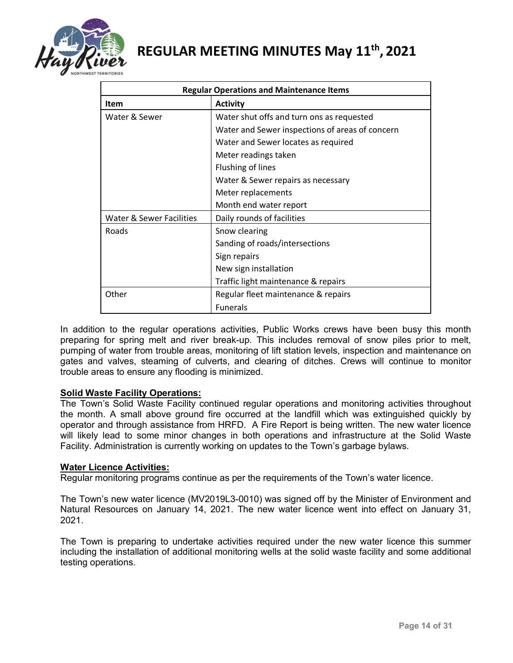

| <b>Regular Operations and Maintenance Items</b> |                                                 |  |  |
|-------------------------------------------------|-------------------------------------------------|--|--|
| <b>Item</b>                                     | <b>Activity</b>                                 |  |  |
| Water & Sewer                                   | Water shut offs and turn ons as requested       |  |  |
|                                                 | Water and Sewer inspections of areas of concern |  |  |
|                                                 | Water and Sewer locates as required             |  |  |
|                                                 | Meter readings taken                            |  |  |
|                                                 | Flushing of lines                               |  |  |
|                                                 | Water & Sewer repairs as necessary              |  |  |
|                                                 | Meter replacements                              |  |  |
|                                                 | Month end water report                          |  |  |
| Water & Sewer Facilities                        | Daily rounds of facilities                      |  |  |
| Roads                                           | Snow clearing                                   |  |  |
|                                                 | Sanding of roads/intersections                  |  |  |
|                                                 | Sign repairs                                    |  |  |
|                                                 | New sign installation                           |  |  |
|                                                 | Traffic light maintenance & repairs             |  |  |
| Other                                           | Regular fleet maintenance & repairs             |  |  |
|                                                 | <b>Funerals</b>                                 |  |  |

In addition to the regular operations activities, Public Works crews have been busy this month preparing for spring melt and river break-up. This includes removal of snow piles prior to melt, pumping of water from trouble areas, monitoring of lift station levels, inspection and maintenance on gates and valves, steaming of culverts, and clearing of ditches. Crews will continue to monitor trouble areas to ensure any flooding is minimized.

### **Solid Waste Facility Operations:**

The Town's Solid Waste Facility continued regular operations and monitoring activities throughout the month. A small above ground fire occurred at the landfill which was extinguished quickly by operator and through assistance from HRFD. A Fire Report is being written. The new water licence will likely lead to some minor changes in both operations and infrastructure at the Solid Waste Facility. Administration is currently working on updates to the Town's garbage bylaws.

### **Water Licence Activities:**

Regular monitoring programs continue as per the requirements of the Town's water licence.

The Town's new water licence (MV2019L3-0010) was signed off by the Minister of Environment and Natural Resources on January 14, 2021. The new water licence went into effect on January 31, 2021.

The Town is preparing to undertake activities required under the new water licence this summer including the installation of additional monitoring wells at the solid waste facility and some additional testing operations.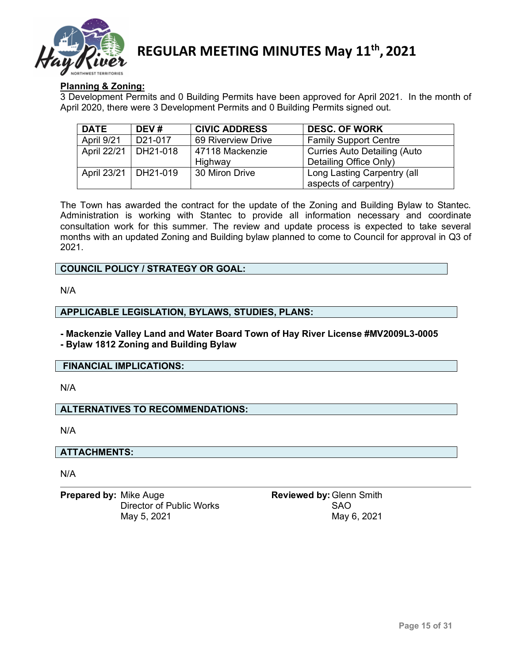

### **Planning & Zoning:**

3 Development Permits and 0 Building Permits have been approved for April 2021. In the month of April 2020, there were 3 Development Permits and 0 Building Permits signed out.

| <b>DATE</b>            | DEV#    | <b>CIVIC ADDRESS</b> | <b>DESC. OF WORK</b>                |
|------------------------|---------|----------------------|-------------------------------------|
| April 9/21             | D21-017 | 69 Riverview Drive   | <b>Family Support Centre</b>        |
| April 22/21   DH21-018 |         | 47118 Mackenzie      | <b>Curries Auto Detailing (Auto</b> |
|                        |         | Highway              | Detailing Office Only)              |
| April 23/21   DH21-019 |         | 30 Miron Drive       | Long Lasting Carpentry (all         |
|                        |         |                      | aspects of carpentry)               |

The Town has awarded the contract for the update of the Zoning and Building Bylaw to Stantec. Administration is working with Stantec to provide all information necessary and coordinate consultation work for this summer. The review and update process is expected to take several months with an updated Zoning and Building bylaw planned to come to Council for approval in Q3 of 2021.

### **COUNCIL POLICY / STRATEGY OR GOAL:**

N/A

### **APPLICABLE LEGISLATION, BYLAWS, STUDIES, PLANS:**

**- Mackenzie Valley Land and Water Board Town of Hay River License #MV2009L3-0005**

### **- Bylaw 1812 Zoning and Building Bylaw**

### **FINANCIAL IMPLICATIONS:**

N/A

### **ALTERNATIVES TO RECOMMENDATIONS:**

N/A

### **ATTACHMENTS:**

N/A

**Prepared by:** Mike Auge **Reviewed by:** Glenn Smith Director of Public Works<br>May 5, 2021 May 6

May 6, 2021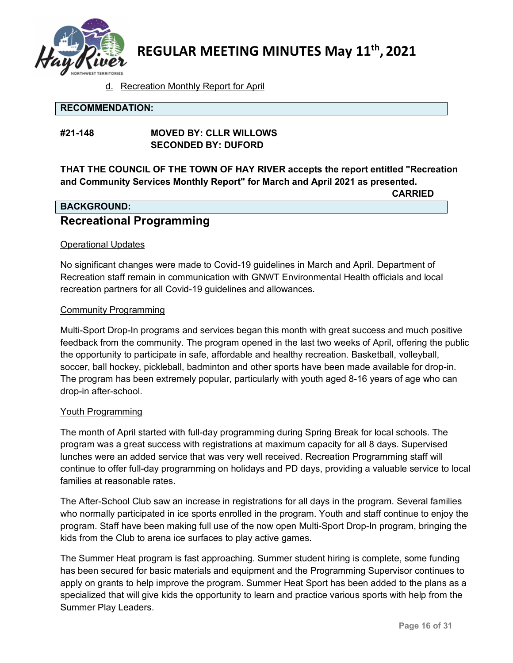

### d. Recreation Monthly Report for April

### **RECOMMENDATION:**

### **#21-148 MOVED BY: CLLR WILLOWS SECONDED BY: DUFORD**

**THAT THE COUNCIL OF THE TOWN OF HAY RIVER accepts the report entitled "Recreation and Community Services Monthly Report" for March and April 2021 as presented.**

**CARRIED**

### **BACKGROUND: Recreational Programming**

### Operational Updates

No significant changes were made to Covid-19 guidelines in March and April. Department of Recreation staff remain in communication with GNWT Environmental Health officials and local recreation partners for all Covid-19 guidelines and allowances.

### Community Programming

Multi-Sport Drop-In programs and services began this month with great success and much positive feedback from the community. The program opened in the last two weeks of April, offering the public the opportunity to participate in safe, affordable and healthy recreation. Basketball, volleyball, soccer, ball hockey, pickleball, badminton and other sports have been made available for drop-in. The program has been extremely popular, particularly with youth aged 8-16 years of age who can drop-in after-school.

### Youth Programming

The month of April started with full-day programming during Spring Break for local schools. The program was a great success with registrations at maximum capacity for all 8 days. Supervised lunches were an added service that was very well received. Recreation Programming staff will continue to offer full-day programming on holidays and PD days, providing a valuable service to local families at reasonable rates.

The After-School Club saw an increase in registrations for all days in the program. Several families who normally participated in ice sports enrolled in the program. Youth and staff continue to enjoy the program. Staff have been making full use of the now open Multi-Sport Drop-In program, bringing the kids from the Club to arena ice surfaces to play active games.

The Summer Heat program is fast approaching. Summer student hiring is complete, some funding has been secured for basic materials and equipment and the Programming Supervisor continues to apply on grants to help improve the program. Summer Heat Sport has been added to the plans as a specialized that will give kids the opportunity to learn and practice various sports with help from the Summer Play Leaders.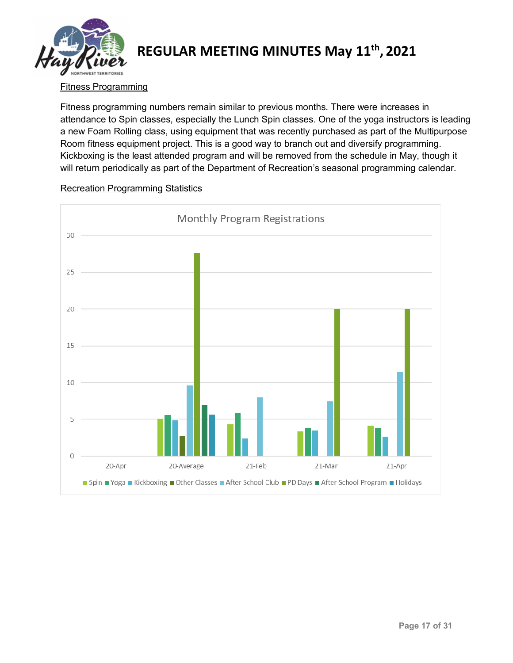

### Fitness Programming

Fitness programming numbers remain similar to previous months. There were increases in attendance to Spin classes, especially the Lunch Spin classes. One of the yoga instructors is leading a new Foam Rolling class, using equipment that was recently purchased as part of the Multipurpose Room fitness equipment project. This is a good way to branch out and diversify programming. Kickboxing is the least attended program and will be removed from the schedule in May, though it will return periodically as part of the Department of Recreation's seasonal programming calendar.



### Recreation Programming Statistics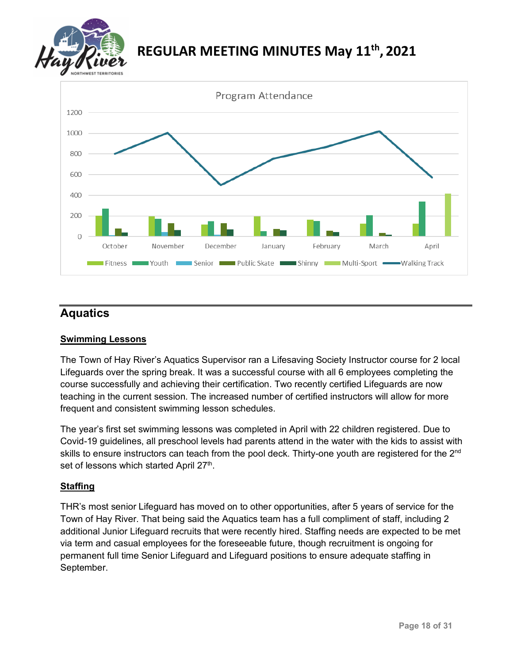



### **Aquatics**

### **Swimming Lessons**

The Town of Hay River's Aquatics Supervisor ran a Lifesaving Society Instructor course for 2 local Lifeguards over the spring break. It was a successful course with all 6 employees completing the course successfully and achieving their certification. Two recently certified Lifeguards are now teaching in the current session. The increased number of certified instructors will allow for more frequent and consistent swimming lesson schedules.

The year's first set swimming lessons was completed in April with 22 children registered. Due to Covid-19 guidelines, all preschool levels had parents attend in the water with the kids to assist with skills to ensure instructors can teach from the pool deck. Thirty-one youth are registered for the 2<sup>nd</sup> set of lessons which started April 27<sup>th</sup>.

### **Staffing**

THR's most senior Lifeguard has moved on to other opportunities, after 5 years of service for the Town of Hay River. That being said the Aquatics team has a full compliment of staff, including 2 additional Junior Lifeguard recruits that were recently hired. Staffing needs are expected to be met via term and casual employees for the foreseeable future, though recruitment is ongoing for permanent full time Senior Lifeguard and Lifeguard positions to ensure adequate staffing in September.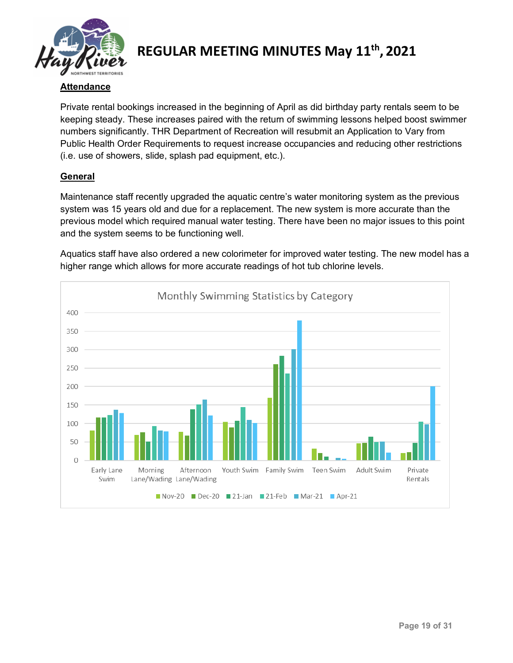

### **Attendance**

Private rental bookings increased in the beginning of April as did birthday party rentals seem to be keeping steady. These increases paired with the return of swimming lessons helped boost swimmer numbers significantly. THR Department of Recreation will resubmit an Application to Vary from Public Health Order Requirements to request increase occupancies and reducing other restrictions (i.e. use of showers, slide, splash pad equipment, etc.).

### **General**

Maintenance staff recently upgraded the aquatic centre's water monitoring system as the previous system was 15 years old and due for a replacement. The new system is more accurate than the previous model which required manual water testing. There have been no major issues to this point and the system seems to be functioning well.



Aquatics staff have also ordered a new colorimeter for improved water testing. The new model has a higher range which allows for more accurate readings of hot tub chlorine levels.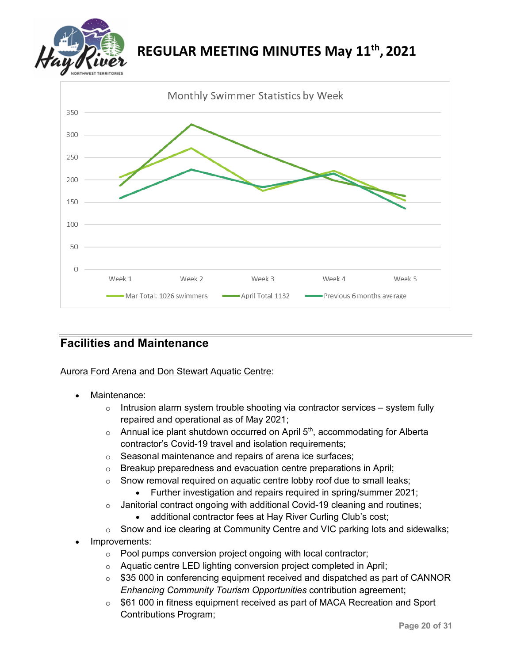



### **Facilities and Maintenance**

Aurora Ford Arena and Don Stewart Aquatic Centre:

- Maintenance:
	- $\circ$  Intrusion alarm system trouble shooting via contractor services system fully repaired and operational as of May 2021;
	- $\circ$  Annual ice plant shutdown occurred on April 5<sup>th</sup>, accommodating for Alberta contractor's Covid-19 travel and isolation requirements;
	- o Seasonal maintenance and repairs of arena ice surfaces;
	- $\circ$  Breakup preparedness and evacuation centre preparations in April;
	- $\circ$  Snow removal required on aquatic centre lobby roof due to small leaks;
		- Further investigation and repairs required in spring/summer 2021;
	- o Janitorial contract ongoing with additional Covid-19 cleaning and routines;
		- additional contractor fees at Hay River Curling Club's cost;
	- o Snow and ice clearing at Community Centre and VIC parking lots and sidewalks;
- Improvements:
	- o Pool pumps conversion project ongoing with local contractor;
	- o Aquatic centre LED lighting conversion project completed in April;
	- o \$35 000 in conferencing equipment received and dispatched as part of CANNOR *Enhancing Community Tourism Opportunities* contribution agreement;
	- o \$61 000 in fitness equipment received as part of MACA Recreation and Sport Contributions Program;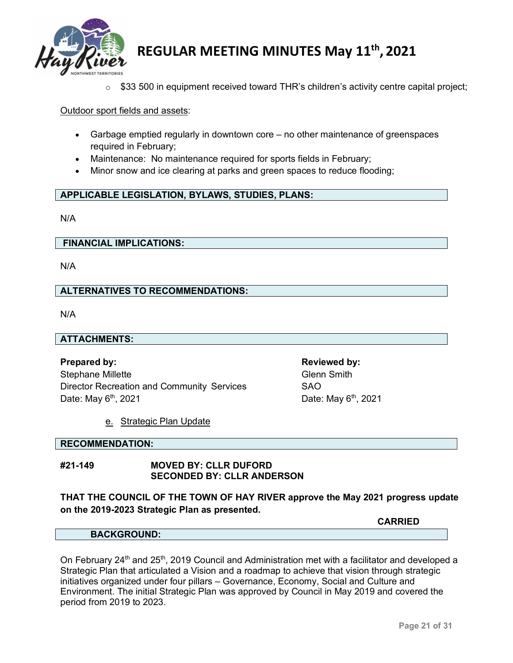

 $\circ$  \$33 500 in equipment received toward THR's children's activity centre capital project;

### Outdoor sport fields and assets:

- Garbage emptied regularly in downtown core no other maintenance of greenspaces required in February;
- Maintenance: No maintenance required for sports fields in February;
- Minor snow and ice clearing at parks and green spaces to reduce flooding;

### **APPLICABLE LEGISLATION, BYLAWS, STUDIES, PLANS:**

N/A

### **FINANCIAL IMPLICATIONS:**

N/A

### **ALTERNATIVES TO RECOMMENDATIONS:**

N/A

### **ATTACHMENTS:**

**Prepared by: Reviewed by:** Stephane Millette Glenn Smith Director Recreation and Community Services SAO Date: May  $6<sup>th</sup>$ , 2021 **Date: May**  $6<sup>th</sup>$ , 2021

### e. Strategic Plan Update

### **RECOMMENDATION:**

### **#21-149 MOVED BY: CLLR DUFORD SECONDED BY: CLLR ANDERSON**

**THAT THE COUNCIL OF THE TOWN OF HAY RIVER approve the May 2021 progress update on the 2019-2023 Strategic Plan as presented.** 

#### **BACKGROUND:**

On February 24<sup>th</sup> and 25<sup>th</sup>, 2019 Council and Administration met with a facilitator and developed a Strategic Plan that articulated a Vision and a roadmap to achieve that vision through strategic initiatives organized under four pillars – Governance, Economy, Social and Culture and Environment. The initial Strategic Plan was approved by Council in May 2019 and covered the period from 2019 to 2023.

**CARRIED**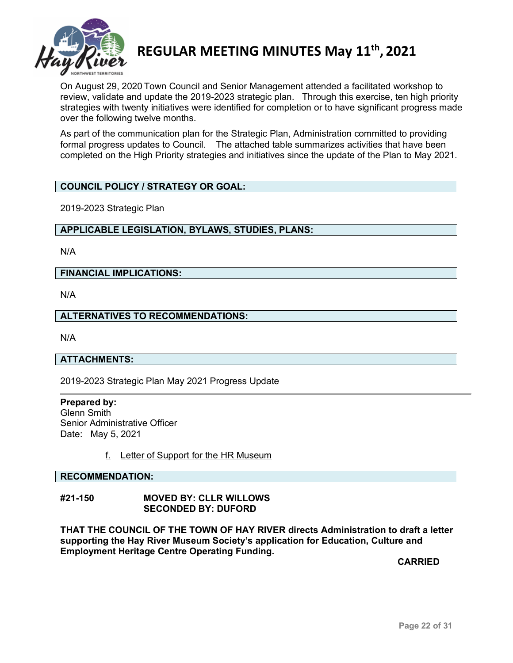

On August 29, 2020 Town Council and Senior Management attended a facilitated workshop to review, validate and update the 2019-2023 strategic plan. Through this exercise, ten high priority strategies with twenty initiatives were identified for completion or to have significant progress made over the following twelve months.

As part of the communication plan for the Strategic Plan, Administration committed to providing formal progress updates to Council. The attached table summarizes activities that have been completed on the High Priority strategies and initiatives since the update of the Plan to May 2021.

### **COUNCIL POLICY / STRATEGY OR GOAL:**

2019-2023 Strategic Plan

### **APPLICABLE LEGISLATION, BYLAWS, STUDIES, PLANS:**

N/A

### **FINANCIAL IMPLICATIONS:**

N/A

### **ALTERNATIVES TO RECOMMENDATIONS:**

N/A

### **ATTACHMENTS:**

2019-2023 Strategic Plan May 2021 Progress Update

**Prepared by:** Glenn Smith Senior Administrative Officer Date: May 5, 2021

f. Letter of Support for the HR Museum

#### **RECOMMENDATION:**

### **#21-150 MOVED BY: CLLR WILLOWS SECONDED BY: DUFORD**

**THAT THE COUNCIL OF THE TOWN OF HAY RIVER directs Administration to draft a letter supporting the Hay River Museum Society's application for Education, Culture and Employment Heritage Centre Operating Funding.** 

**CARRIED**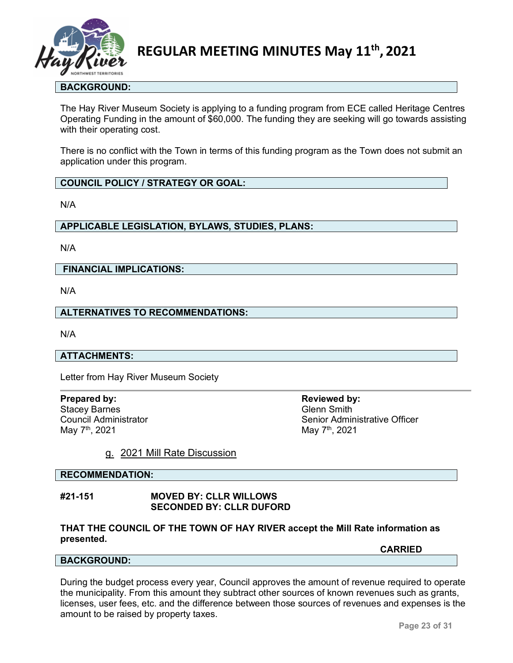

### **BACKGROUND:**

The Hay River Museum Society is applying to a funding program from ECE called Heritage Centres Operating Funding in the amount of \$60,000. The funding they are seeking will go towards assisting with their operating cost.

There is no conflict with the Town in terms of this funding program as the Town does not submit an application under this program.

### **COUNCIL POLICY / STRATEGY OR GOAL:**

N/A

### **APPLICABLE LEGISLATION, BYLAWS, STUDIES, PLANS:**

N/A

### **FINANCIAL IMPLICATIONS:**

N/A

### **ALTERNATIVES TO RECOMMENDATIONS:**

N/A

### **ATTACHMENTS:**

Letter from Hay River Museum Society

**Prepared by: Reviewed by: Reviewed by:** Stacey Barnes<br>
Council Administrator<br>
Council Administrator

Council Administrator Council Administrator Senior Administrative Officer<br>
May 7<sup>th</sup>, 2021 May 7<sup>th</sup>, 2021

### g. 2021 Mill Rate Discussion

#### **RECOMMENDATION:**

#### **#21-151 MOVED BY: CLLR WILLOWS SECONDED BY: CLLR DUFORD**

### **THAT THE COUNCIL OF THE TOWN OF HAY RIVER accept the Mill Rate information as presented.**

**CARRIED**

#### **BACKGROUND:**

During the budget process every year, Council approves the amount of revenue required to operate the municipality. From this amount they subtract other sources of known revenues such as grants, licenses, user fees, etc. and the difference between those sources of revenues and expenses is the amount to be raised by property taxes.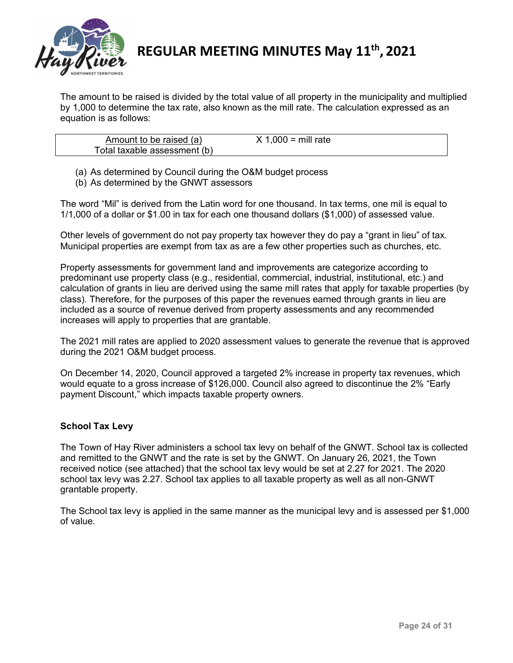

The amount to be raised is divided by the total value of all property in the municipality and multiplied by 1,000 to determine the tax rate, also known as the mill rate. The calculation expressed as an equation is as follows:

| Amount to be raised (a)      | $1,000 = \text{mill rate}$ |
|------------------------------|----------------------------|
| Total taxable assessment (b) |                            |

(a) As determined by Council during the O&M budget process

(b) As determined by the GNWT assessors

The word "Mil" is derived from the Latin word for one thousand. In tax terms, one mil is equal to 1/1,000 of a dollar or \$1.00 in tax for each one thousand dollars (\$1,000) of assessed value.

Other levels of government do not pay property tax however they do pay a "grant in lieu" of tax. Municipal properties are exempt from tax as are a few other properties such as churches, etc.

Property assessments for government land and improvements are categorize according to predominant use property class (e.g., residential, commercial, industrial, institutional, etc.) and calculation of grants in lieu are derived using the same mill rates that apply for taxable properties (by class). Therefore, for the purposes of this paper the revenues earned through grants in lieu are included as a source of revenue derived from property assessments and any recommended increases will apply to properties that are grantable.

The 2021 mill rates are applied to 2020 assessment values to generate the revenue that is approved during the 2021 O&M budget process.

On December 14, 2020, Council approved a targeted 2% increase in property tax revenues, which would equate to a gross increase of \$126,000. Council also agreed to discontinue the 2% "Early payment Discount," which impacts taxable property owners.

### **School Tax Levy**

The Town of Hay River administers a school tax levy on behalf of the GNWT. School tax is collected and remitted to the GNWT and the rate is set by the GNWT. On January 26, 2021, the Town received notice (see attached) that the school tax levy would be set at 2.27 for 2021. The 2020 school tax levy was 2.27. School tax applies to all taxable property as well as all non-GNWT grantable property.

The School tax levy is applied in the same manner as the municipal levy and is assessed per \$1,000 of value.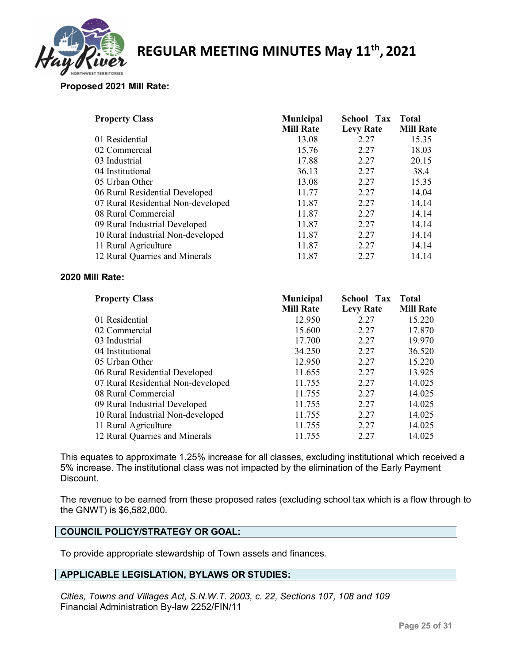

### **Proposed 2021 Mill Rate:**

| <b>Property Class</b>              | <b>Municipal</b> | <b>School Tax</b> | <b>Total</b>     |
|------------------------------------|------------------|-------------------|------------------|
|                                    | <b>Mill Rate</b> | <b>Levy Rate</b>  | <b>Mill Rate</b> |
| 01 Residential                     | 13.08            | 2.27              | 15.35            |
| 02 Commercial                      | 15.76            | 2.27              | 18.03            |
| 03 Industrial                      | 17.88            | 2.27              | 20.15            |
| 04 Institutional                   | 36.13            | 2.27              | 38.4             |
| 05 Urban Other                     | 13.08            | 2.27              | 15.35            |
| 06 Rural Residential Developed     | 11.77            | 2.27              | 14.04            |
| 07 Rural Residential Non-developed | 11.87            | 2.27              | 14.14            |
| 08 Rural Commercial                | 11.87            | 2.27              | 14.14            |
| 09 Rural Industrial Developed      | 11.87            | 2.27              | 14.14            |
| 10 Rural Industrial Non-developed  | 11.87            | 2.27              | 14.14            |
| 11 Rural Agriculture               | 11.87            | 2.27              | 14.14            |
| 12 Rural Quarries and Minerals     | 11.87            | 2.27              | 14.14            |

### **2020 Mill Rate:**

| <b>Property Class</b>              | <b>Municipal</b><br><b>Mill Rate</b> | <b>School Tax</b><br><b>Levy Rate</b> | <b>Total</b><br><b>Mill Rate</b> |
|------------------------------------|--------------------------------------|---------------------------------------|----------------------------------|
| 01 Residential                     | 12.950                               | 2.27                                  | 15.220                           |
| 02 Commercial                      | 15.600                               | 2.27                                  | 17.870                           |
| 03 Industrial                      | 17.700                               | 2.27                                  | 19.970                           |
| 04 Institutional                   | 34.250                               | 2.27                                  | 36.520                           |
| 05 Urban Other                     | 12.950                               | 2.27                                  | 15.220                           |
| 06 Rural Residential Developed     | 11.655                               | 2.27                                  | 13.925                           |
| 07 Rural Residential Non-developed | 11.755                               | 2.27                                  | 14.025                           |
| 08 Rural Commercial                | 11.755                               | 2.27                                  | 14.025                           |
| 09 Rural Industrial Developed      | 11.755                               | 2.27                                  | 14.025                           |
| 10 Rural Industrial Non-developed  | 11.755                               | 2.27                                  | 14.025                           |
| 11 Rural Agriculture               | 11.755                               | 2.27                                  | 14.025                           |
| 12 Rural Quarries and Minerals     | 11.755                               | 2.27                                  | 14.025                           |

This equates to approximate 1.25% increase for all classes, excluding institutional which received a 5% increase. The institutional class was not impacted by the elimination of the Early Payment Discount.

The revenue to be earned from these proposed rates (excluding school tax which is a flow through to the GNWT) is \$6,582,000.

### **COUNCIL POLICY/STRATEGY OR GOAL:**

To provide appropriate stewardship of Town assets and finances.

### **APPLICABLE LEGISLATION, BYLAWS OR STUDIES:**

*Cities, Towns and Villages Act, S.N.W.T. 2003, c. 22, Sections 107, 108 and 109* Financial Administration By-law 2252/FIN/11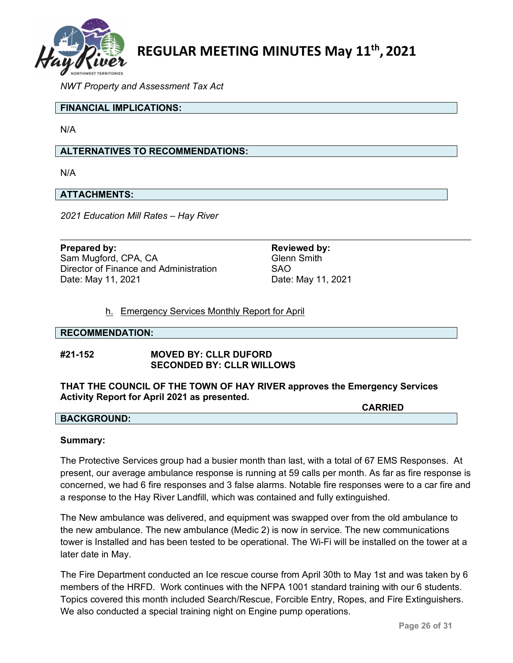

*NWT Property and Assessment Tax Act*

### **FINANCIAL IMPLICATIONS:**

N/A

### **ALTERNATIVES TO RECOMMENDATIONS:**

N/A

### **ATTACHMENTS:**

*2021 Education Mill Rates – Hay River*

**Prepared by: Reviewed by: Reviewed by: Reviewed by:** Sam Mugford, CPA, CA Glenn Smith Director of Finance and Administration SAO Date: May 11, 2021 Date: May 11, 2021

### h. Emergency Services Monthly Report for April

#### **RECOMMENDATION:**

### **#21-152 MOVED BY: CLLR DUFORD SECONDED BY: CLLR WILLOWS**

**THAT THE COUNCIL OF THE TOWN OF HAY RIVER approves the Emergency Services Activity Report for April 2021 as presented.**

**CARRIED**

### **BACKGROUND:**

#### **Summary:**

The Protective Services group had a busier month than last, with a total of 67 EMS Responses. At present, our average ambulance response is running at 59 calls per month. As far as fire response is concerned, we had 6 fire responses and 3 false alarms. Notable fire responses were to a car fire and a response to the Hay River Landfill, which was contained and fully extinguished.

The New ambulance was delivered, and equipment was swapped over from the old ambulance to the new ambulance. The new ambulance (Medic 2) is now in service. The new communications tower is Installed and has been tested to be operational. The Wi-Fi will be installed on the tower at a later date in May.

The Fire Department conducted an Ice rescue course from April 30th to May 1st and was taken by 6 members of the HRFD. Work continues with the NFPA 1001 standard training with our 6 students. Topics covered this month included Search/Rescue, Forcible Entry, Ropes, and Fire Extinguishers. We also conducted a special training night on Engine pump operations.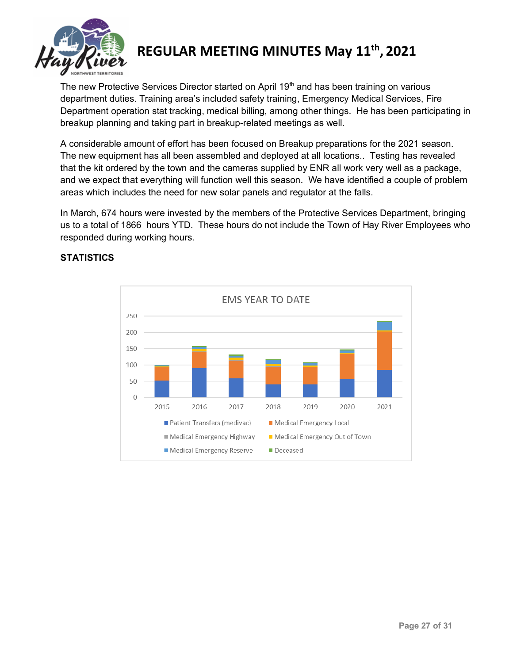

The new Protective Services Director started on April 19<sup>th</sup> and has been training on various department duties. Training area's included safety training, Emergency Medical Services, Fire Department operation stat tracking, medical billing, among other things. He has been participating in breakup planning and taking part in breakup-related meetings as well.

A considerable amount of effort has been focused on Breakup preparations for the 2021 season. The new equipment has all been assembled and deployed at all locations.. Testing has revealed that the kit ordered by the town and the cameras supplied by ENR all work very well as a package, and we expect that everything will function well this season. We have identified a couple of problem areas which includes the need for new solar panels and regulator at the falls.

In March, 674 hours were invested by the members of the Protective Services Department, bringing us to a total of 1866 hours YTD. These hours do not include the Town of Hay River Employees who responded during working hours.



### **STATISTICS**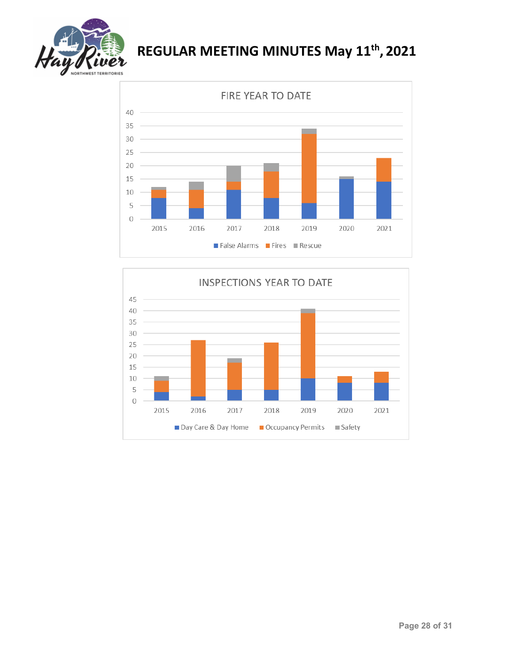



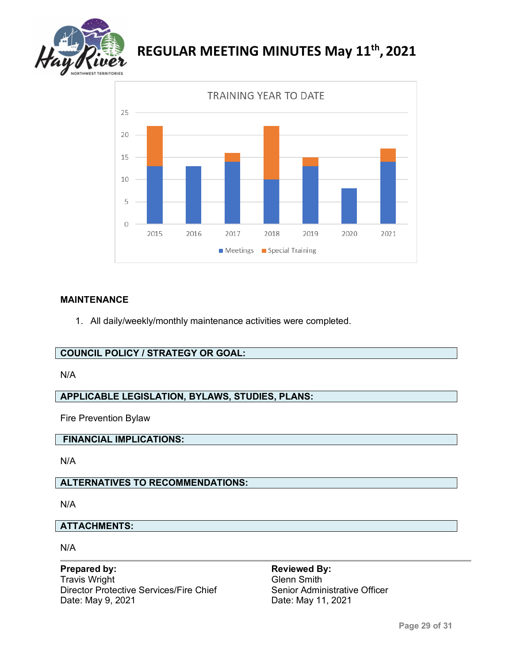



### **MAINTENANCE**

1. All daily/weekly/monthly maintenance activities were completed.

### **COUNCIL POLICY / STRATEGY OR GOAL:**

### N/A

### **APPLICABLE LEGISLATION, BYLAWS, STUDIES, PLANS:**

Fire Prevention Bylaw

### **FINANCIAL IMPLICATIONS:**

N/A

### **ALTERNATIVES TO RECOMMENDATIONS:**

N/A

### **ATTACHMENTS:**

N/A

### **Prepared by: Reviewed By: Reviewed By:** Travis Wright<br>Director Protective Services/Fire Chief Senior Administrative Officer Director Protective Services/Fire Chief<br>Date: May 9, 2021

Date: May 11, 2021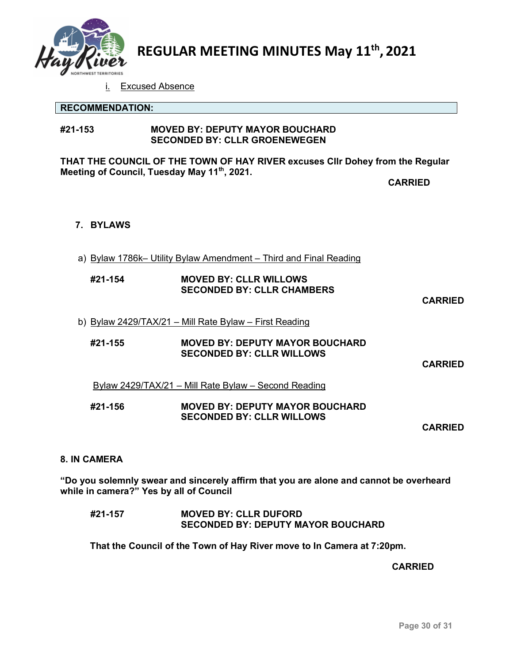

i. Excused Absence

### **RECOMMENDATION:**

### **#21-153 MOVED BY: DEPUTY MAYOR BOUCHARD SECONDED BY: CLLR GROENEWEGEN**

**THAT THE COUNCIL OF THE TOWN OF HAY RIVER excuses Cllr Dohey from the Regular Meeting of Council, Tuesday May 11th, 2021.** 

**CARRIED**

### **7. BYLAWS**

a) Bylaw 1786k– Utility Bylaw Amendment – Third and Final Reading

| #21-154 | <b>MOVED BY: CLLR WILLOWS</b>     |
|---------|-----------------------------------|
|         | <b>SECONDED BY: CLLR CHAMBERS</b> |

**CARRIED**

### b) Bylaw 2429/TAX/21 – Mill Rate Bylaw – First Reading

**#21-155 MOVED BY: DEPUTY MAYOR BOUCHARD SECONDED BY: CLLR WILLOWS**

**CARRIED**

### Bylaw 2429/TAX/21 – Mill Rate Bylaw – Second Reading

### **#21-156 MOVED BY: DEPUTY MAYOR BOUCHARD SECONDED BY: CLLR WILLOWS**

**CARRIED**

### **8. IN CAMERA**

**"Do you solemnly swear and sincerely affirm that you are alone and cannot be overheard while in camera?" Yes by all of Council** 

### **#21-157 MOVED BY: CLLR DUFORD SECONDED BY: DEPUTY MAYOR BOUCHARD**

**That the Council of the Town of Hay River move to In Camera at 7:20pm.**

**CARRIED**